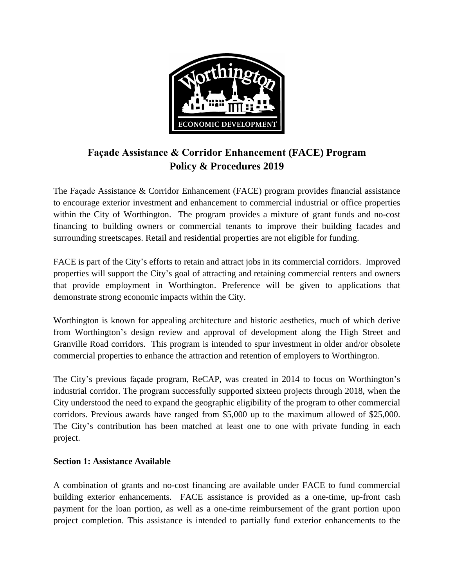

# **Façade Assistance & Corridor Enhancement (FACE) Program Policy & Procedures 2019**

The Façade Assistance & Corridor Enhancement (FACE) program provides financial assistance to encourage exterior investment and enhancement to commercial industrial or office properties within the City of Worthington. The program provides a mixture of grant funds and no-cost financing to building owners or commercial tenants to improve their building facades and surrounding streetscapes. Retail and residential properties are not eligible for funding.

FACE is part of the City's efforts to retain and attract jobs in its commercial corridors. Improved properties will support the City's goal of attracting and retaining commercial renters and owners that provide employment in Worthington. Preference will be given to applications that demonstrate strong economic impacts within the City.

Worthington is known for appealing architecture and historic aesthetics, much of which derive from Worthington's design review and approval of development along the High Street and Granville Road corridors. This program is intended to spur investment in older and/or obsolete commercial properties to enhance the attraction and retention of employers to Worthington.

The City's previous façade program, ReCAP, was created in 2014 to focus on Worthington's industrial corridor. The program successfully supported sixteen projects through 2018, when the City understood the need to expand the geographic eligibility of the program to other commercial corridors. Previous awards have ranged from \$5,000 up to the maximum allowed of \$25,000. The City's contribution has been matched at least one to one with private funding in each project.

#### **Section 1: Assistance Available**

A combination of grants and no-cost financing are available under FACE to fund commercial building exterior enhancements. FACE assistance is provided as a one-time, up-front cash payment for the loan portion, as well as a one-time reimbursement of the grant portion upon project completion. This assistance is intended to partially fund exterior enhancements to the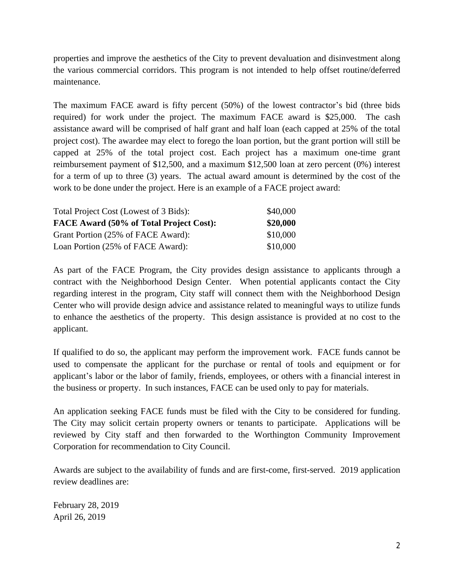properties and improve the aesthetics of the City to prevent devaluation and disinvestment along the various commercial corridors. This program is not intended to help offset routine/deferred maintenance.

The maximum FACE award is fifty percent (50%) of the lowest contractor's bid (three bids required) for work under the project. The maximum FACE award is \$25,000. The cash assistance award will be comprised of half grant and half loan (each capped at 25% of the total project cost). The awardee may elect to forego the loan portion, but the grant portion will still be capped at 25% of the total project cost. Each project has a maximum one-time grant reimbursement payment of \$12,500, and a maximum \$12,500 loan at zero percent (0%) interest for a term of up to three (3) years. The actual award amount is determined by the cost of the work to be done under the project. Here is an example of a FACE project award:

| Total Project Cost (Lowest of 3 Bids):<br>FACE Award (50% of Total Project Cost): | \$40,000<br>\$20,000 |
|-----------------------------------------------------------------------------------|----------------------|
|                                                                                   |                      |
| Loan Portion (25% of FACE Award):                                                 | \$10,000             |

As part of the FACE Program, the City provides design assistance to applicants through a contract with the Neighborhood Design Center. When potential applicants contact the City regarding interest in the program, City staff will connect them with the Neighborhood Design Center who will provide design advice and assistance related to meaningful ways to utilize funds to enhance the aesthetics of the property. This design assistance is provided at no cost to the applicant.

If qualified to do so, the applicant may perform the improvement work. FACE funds cannot be used to compensate the applicant for the purchase or rental of tools and equipment or for applicant's labor or the labor of family, friends, employees, or others with a financial interest in the business or property. In such instances, FACE can be used only to pay for materials.

An application seeking FACE funds must be filed with the City to be considered for funding. The City may solicit certain property owners or tenants to participate. Applications will be reviewed by City staff and then forwarded to the Worthington Community Improvement Corporation for recommendation to City Council.

Awards are subject to the availability of funds and are first-come, first-served. 2019 application review deadlines are:

February 28, 2019 April 26, 2019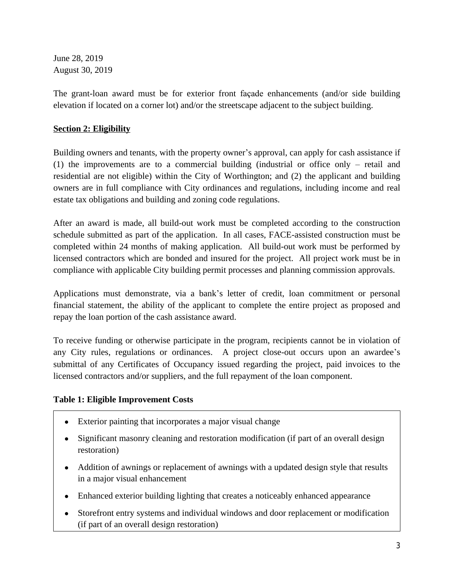June 28, 2019 August 30, 2019

The grant-loan award must be for exterior front façade enhancements (and/or side building elevation if located on a corner lot) and/or the streetscape adjacent to the subject building.

# **Section 2: Eligibility**

Building owners and tenants, with the property owner's approval, can apply for cash assistance if (1) the improvements are to a commercial building (industrial or office only – retail and residential are not eligible) within the City of Worthington; and (2) the applicant and building owners are in full compliance with City ordinances and regulations, including income and real estate tax obligations and building and zoning code regulations.

After an award is made, all build-out work must be completed according to the construction schedule submitted as part of the application. In all cases, FACE-assisted construction must be completed within 24 months of making application. All build-out work must be performed by licensed contractors which are bonded and insured for the project. All project work must be in compliance with applicable City building permit processes and planning commission approvals.

Applications must demonstrate, via a bank's letter of credit, loan commitment or personal financial statement, the ability of the applicant to complete the entire project as proposed and repay the loan portion of the cash assistance award.

To receive funding or otherwise participate in the program, recipients cannot be in violation of any City rules, regulations or ordinances. A project close-out occurs upon an awardee's submittal of any Certificates of Occupancy issued regarding the project, paid invoices to the licensed contractors and/or suppliers, and the full repayment of the loan component.

# **Table 1: Eligible Improvement Costs**

- Exterior painting that incorporates a major visual change
- Significant masonry cleaning and restoration modification (if part of an overall design restoration)
- Addition of awnings or replacement of awnings with a updated design style that results in a major visual enhancement
- Enhanced exterior building lighting that creates a noticeably enhanced appearance
- Storefront entry systems and individual windows and door replacement or modification (if part of an overall design restoration)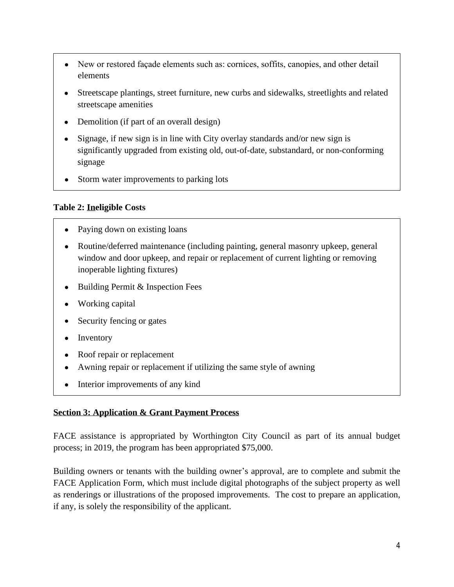- New or restored façade elements such as: cornices, soffits, canopies, and other detail elements
- Streetscape plantings, street furniture, new curbs and sidewalks, streetlights and related streetscape amenities
- Demolition (if part of an overall design)
- Signage, if new sign is in line with City overlay standards and/or new sign is significantly upgraded from existing old, out-of-date, substandard, or non-conforming signage
- Storm water improvements to parking lots

#### **Table 2: Ineligible Costs**

- Paying down on existing loans
- Routine/deferred maintenance (including painting, general masonry upkeep, general window and door upkeep, and repair or replacement of current lighting or removing inoperable lighting fixtures)
- Building Permit & Inspection Fees
- Working capital
- Security fencing or gates
- Inventory
- Roof repair or replacement
- Awning repair or replacement if utilizing the same style of awning
- Interior improvements of any kind

# **Section 3: Application & Grant Payment Process**

FACE assistance is appropriated by Worthington City Council as part of its annual budget process; in 2019, the program has been appropriated \$75,000.

Building owners or tenants with the building owner's approval, are to complete and submit the FACE Application Form, which must include digital photographs of the subject property as well as renderings or illustrations of the proposed improvements. The cost to prepare an application, if any, is solely the responsibility of the applicant.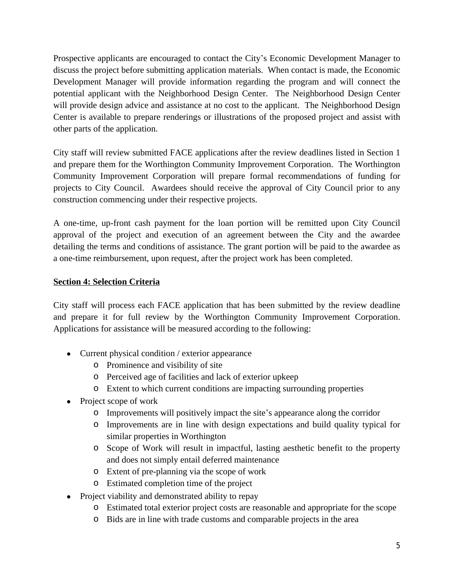Prospective applicants are encouraged to contact the City's Economic Development Manager to discuss the project before submitting application materials. When contact is made, the Economic Development Manager will provide information regarding the program and will connect the potential applicant with the Neighborhood Design Center. The Neighborhood Design Center will provide design advice and assistance at no cost to the applicant. The Neighborhood Design Center is available to prepare renderings or illustrations of the proposed project and assist with other parts of the application.

City staff will review submitted FACE applications after the review deadlines listed in Section 1 and prepare them for the Worthington Community Improvement Corporation. The Worthington Community Improvement Corporation will prepare formal recommendations of funding for projects to City Council. Awardees should receive the approval of City Council prior to any construction commencing under their respective projects.

A one-time, up-front cash payment for the loan portion will be remitted upon City Council approval of the project and execution of an agreement between the City and the awardee detailing the terms and conditions of assistance. The grant portion will be paid to the awardee as a one-time reimbursement, upon request, after the project work has been completed.

#### **Section 4: Selection Criteria**

City staff will process each FACE application that has been submitted by the review deadline and prepare it for full review by the Worthington Community Improvement Corporation. Applications for assistance will be measured according to the following:

- Current physical condition / exterior appearance
	- o Prominence and visibility of site
	- o Perceived age of facilities and lack of exterior upkeep
	- o Extent to which current conditions are impacting surrounding properties
- Project scope of work
	- o Improvements will positively impact the site's appearance along the corridor
	- o Improvements are in line with design expectations and build quality typical for similar properties in Worthington
	- o Scope of Work will result in impactful, lasting aesthetic benefit to the property and does not simply entail deferred maintenance
	- o Extent of pre-planning via the scope of work
	- o Estimated completion time of the project
- Project viability and demonstrated ability to repay
	- o Estimated total exterior project costs are reasonable and appropriate for the scope
	- o Bids are in line with trade customs and comparable projects in the area